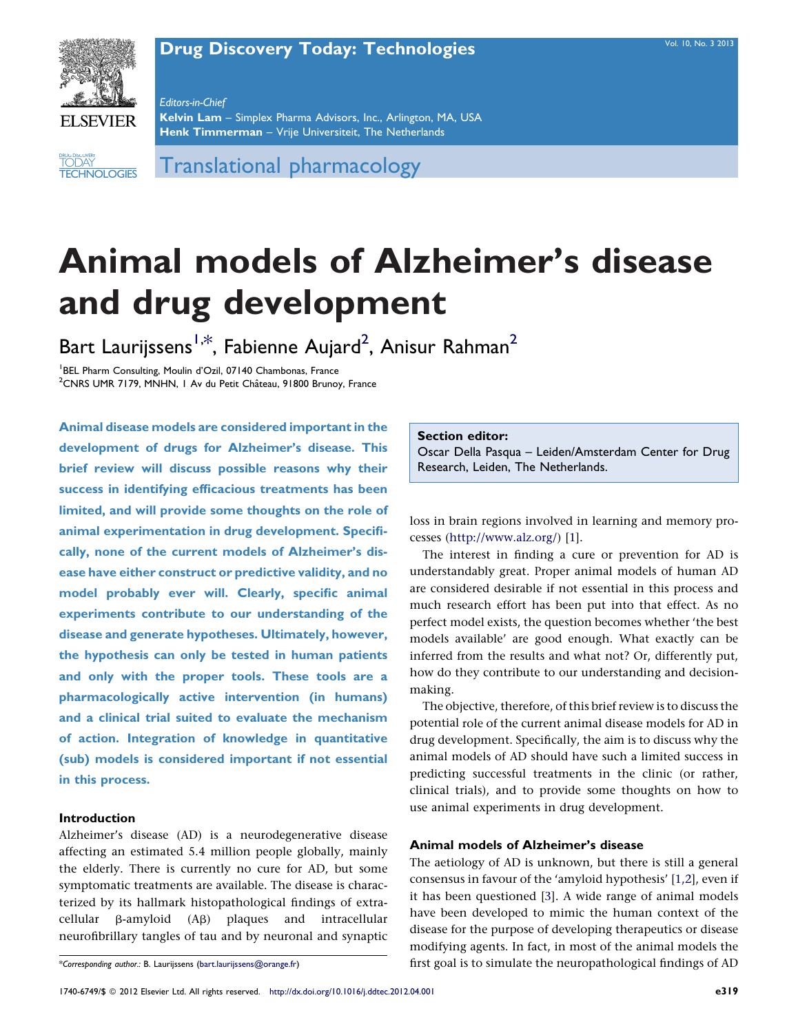# **Drug Discovery Today: [Technologies](http://dx.doi.org/10.1016/j.ddtec.2012.04.001)** Vol. 10, No. 3 [2013](http://dx.doi.org/10.1016/j.ddtec.2012.04.001)



Editors-in-Chief Kelvin Lam – Simplex Pharma Advisors, Inc., Arlington, MA, USA Henk Timmerman - Vrije Universiteit, The Netherlands

TECHNOLOGIES **DRUG DISCOVERY** TODAY

Translational pharmacology

# Animal models of Alzheimer's disease and drug development

Bart Laurijssens<sup>1,\*</sup>, Fabienne Aujard<sup>2</sup>, Anisur Rahman<sup>2</sup>

<sup>1</sup>BEL Pharm Consulting, Moulin d'Ozil, 07140 Chambonas, France<br><sup>2</sup>CNBS LIMB 7179, MNHNL LAv du Petit Château, 91800 Bruno <sup>2</sup>CNRS UMR 7179, MNHN, 1 Av du Petit Château, 91800 Brunoy, France

Animal disease models are considered important in the development of drugs for Alzheimer's disease. This brief review will discuss possible reasons why their success in identifying efficacious treatments has been limited, and will provide some thoughts on the role of animal experimentation in drug development. Specifically, none of the current models of Alzheimer's disease have either construct or predictive validity, and no model probably ever will. Clearly, specific animal experiments contribute to our understanding of the disease and generate hypotheses. Ultimately, however, the hypothesis can only be tested in human patients and only with the proper tools. These tools are a pharmacologically active intervention (in humans) and a clinical trial suited to evaluate the mechanism of action. Integration of knowledge in quantitative (sub) models is considered important if not essential in this process.

# Introduction

Alzheimer's disease (AD) is a neurodegenerative disease affecting an estimated 5.4 million people globally, mainly the elderly. There is currently no cure for AD, but some symptomatic treatments are available. The disease is characterized by its hallmark histopathological findings of extracellular  $\beta$ -amyloid  $(A\beta)$  plaques and intracellular neurofibrillary tangles of tau and by neuronal and synaptic

#### Section editor:

Oscar Della Pasqua – Leiden/Amsterdam Center for Drug Research, Leiden, The Netherlands.

loss in brain regions involved in learning and memory processes [\(http://www.alz.org/\)](http://www.alz.org/) [[1](#page-7-0)].

The interest in finding a cure or prevention for AD is understandably great. Proper animal models of human AD are considered desirable if not essential in this process and much research effort has been put into that effect. As no perfect model exists, the question becomes whether 'the best models available' are good enough. What exactly can be inferred from the results and what not? Or, differently put, how do they contribute to our understanding and decisionmaking.

The objective, therefore, of this brief review is to discuss the potential role of the current animal disease models for AD in drug development. Specifically, the aim is to discuss why the animal models of AD should have such a limited success in predicting successful treatments in the clinic (or rather, clinical trials), and to provide some thoughts on how to use animal experiments in drug development.

#### Animal models of Alzheimer's disease

The aetiology of AD is unknown, but there is still a general consensus in favour of the 'amyloid hypothesis' [\[1,2](#page-7-0)], even if it has been questioned [\[3](#page-7-0)]. A wide range of animal models have been developed to mimic the human context of the disease for the purpose of developing therapeutics or disease modifying agents. In fact, in most of the animal models the first goal is to simulate the neuropathological findings of AD

<sup>\*</sup>Corresponding author.: B. Laurijssens [\(bart.laurijssens@orange.fr\)](mailto:bart.laurijssens@orange.fr)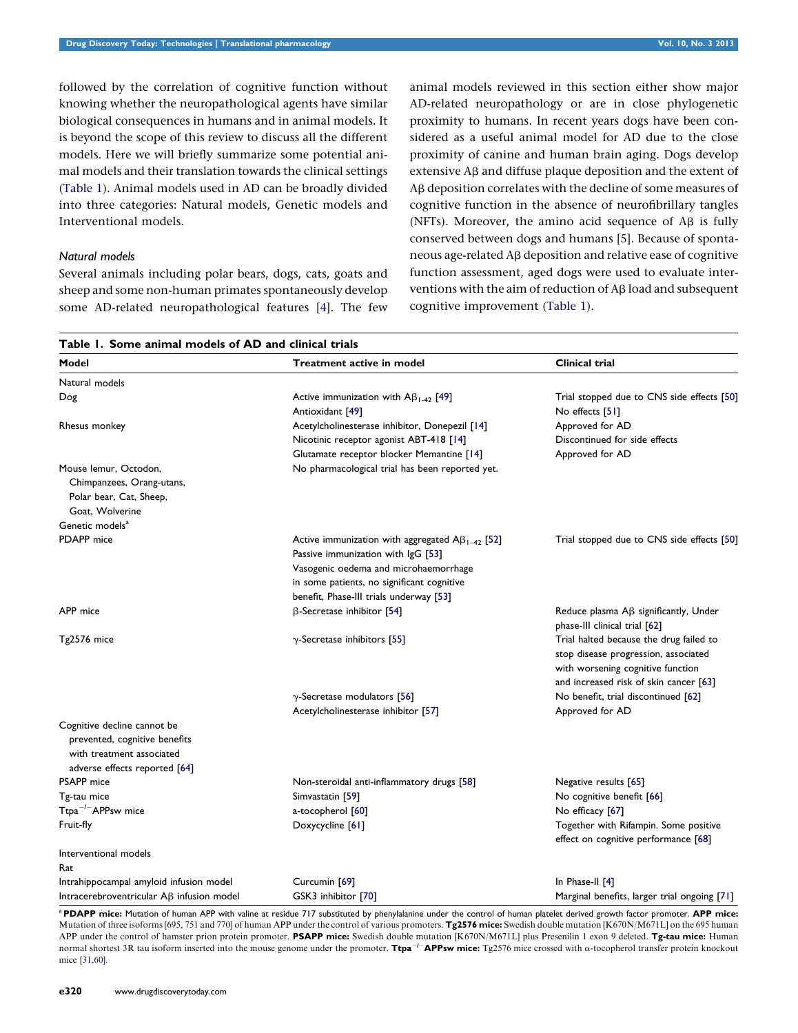<span id="page-1-0"></span>followed by the correlation of cognitive function without knowing whether the neuropathological agents have similar biological consequences in humans and in animal models. It is beyond the scope of this review to discuss all the different models. Here we will briefly summarize some potential animal models and their translation towards the clinical settings (Table 1). Animal models used in AD can be broadly divided into three categories: Natural models, Genetic models and Interventional models.

### Natural models

Several animals including polar bears, dogs, cats, goats and sheep and some non-human primates spontaneously develop some AD-related neuropathological features [[4\]](#page-7-0). The few animal models reviewed in this section either show major AD-related neuropathology or are in close phylogenetic proximity to humans. In recent years dogs have been considered as a useful animal model for AD due to the close proximity of canine and human brain aging. Dogs develop extensive  $\Delta\beta$  and diffuse plaque deposition and the extent of A<sub>B</sub> deposition correlates with the decline of some measures of cognitive function in the absence of neurofibrillary tangles (NFTs). Moreover, the amino acid sequence of  $\overrightarrow{AB}$  is fully conserved between dogs and humans [\[5\]](#page-7-0). Because of spontaneous age-related Ab deposition and relative ease of cognitive function assessment, aged dogs were used to evaluate interventions with the aim of reduction of  $A\beta$  load and subsequent cognitive improvement (Table 1).

| Model                                                                                     | Treatment active in model                                                                  | <b>Clinical trial</b>                                                                                                                                          |
|-------------------------------------------------------------------------------------------|--------------------------------------------------------------------------------------------|----------------------------------------------------------------------------------------------------------------------------------------------------------------|
| Natural models                                                                            |                                                                                            |                                                                                                                                                                |
| Dog                                                                                       | Active immunization with $AB_{1-42}$ [49]<br>Antioxidant [49]                              | Trial stopped due to CNS side effects [50]<br>No effects [51]                                                                                                  |
| Rhesus monkey                                                                             | Acetylcholinesterase inhibitor, Donepezil [14]                                             | Approved for AD                                                                                                                                                |
|                                                                                           | Nicotinic receptor agonist ABT-418 [14]                                                    | Discontinued for side effects                                                                                                                                  |
|                                                                                           | Glutamate receptor blocker Memantine [14]                                                  | Approved for AD                                                                                                                                                |
| Mouse lemur, Octodon,<br>Chimpanzees, Orang-utans,                                        | No pharmacological trial has been reported yet.                                            |                                                                                                                                                                |
| Polar bear, Cat, Sheep,<br>Goat, Wolverine                                                |                                                                                            |                                                                                                                                                                |
| Genetic models <sup>a</sup>                                                               |                                                                                            |                                                                                                                                                                |
| <b>PDAPP</b> mice                                                                         | Active immunization with aggregated $AB_{1-42}$ [52]<br>Passive immunization with IgG [53] | Trial stopped due to CNS side effects [50]                                                                                                                     |
|                                                                                           | Vasogenic oedema and microhaemorrhage                                                      |                                                                                                                                                                |
|                                                                                           | in some patients, no significant cognitive                                                 |                                                                                                                                                                |
|                                                                                           | benefit, Phase-III trials underway [53]                                                    |                                                                                                                                                                |
| APP mice                                                                                  | $\beta$ -Secretase inhibitor [54]                                                          | Reduce plasma Aß significantly, Under<br>phase-III clinical trial [62]                                                                                         |
| Tg2576 mice                                                                               | $\gamma$ -Secretase inhibitors [55]                                                        | Trial halted because the drug failed to<br>stop disease progression, associated<br>with worsening cognitive function<br>and increased risk of skin cancer [63] |
|                                                                                           | $\gamma$ -Secretase modulators [56]                                                        | No benefit, trial discontinued [62]                                                                                                                            |
|                                                                                           | Acetylcholinesterase inhibitor [57]                                                        | Approved for AD                                                                                                                                                |
| Cognitive decline cannot be<br>prevented, cognitive benefits<br>with treatment associated |                                                                                            |                                                                                                                                                                |
| adverse effects reported [64]                                                             |                                                                                            |                                                                                                                                                                |
| <b>PSAPP</b> mice                                                                         | Non-steroidal anti-inflammatory drugs [58]                                                 | Negative results [65]                                                                                                                                          |
| Tg-tau mice                                                                               | Simvastatin [59]                                                                           | No cognitive benefit [66]                                                                                                                                      |
| Ttpa <sup>-/-</sup> APPsw mice<br>Fruit-fly                                               | a-tocopherol [60]<br>Doxycycline [61]                                                      | No efficacy [67]<br>Together with Rifampin. Some positive<br>effect on cognitive performance [68]                                                              |
| Interventional models                                                                     |                                                                                            |                                                                                                                                                                |
| Rat                                                                                       |                                                                                            |                                                                                                                                                                |
| Intrahippocampal amyloid infusion model                                                   | Curcumin [69]                                                                              | In Phase-II [4]                                                                                                                                                |
| Intracerebroventricular Aß infusion model                                                 | GSK3 inhibitor [70]                                                                        | Marginal benefits, larger trial ongoing [71]                                                                                                                   |

a PDAPP mice: Mutation of human APP with valine at residue 717 substituted by phenylalanine under the control of human platelet derived growth factor promoter. APP mice: Mutation of three isoforms [695, 751 and 770] of human APP under the control of various promoters. Tg2576 mice: Swedish double mutation [K670N/M671L] on the 695 human APP under the control of hamster prion protein promoter. PSAPP mice: Swedish double mutation [K670N/M671L] plus Presenilin 1 exon 9 deleted. Tg-tau mice: Human normal shortest 3R tau isoform inserted into the mouse genome under the promoter. Ttpa<sup>-/-</sup>APPsw mice: Tg2576 mice crossed with a-tocopherol transfer protein knockout mice [\[31,60](#page-8-0)].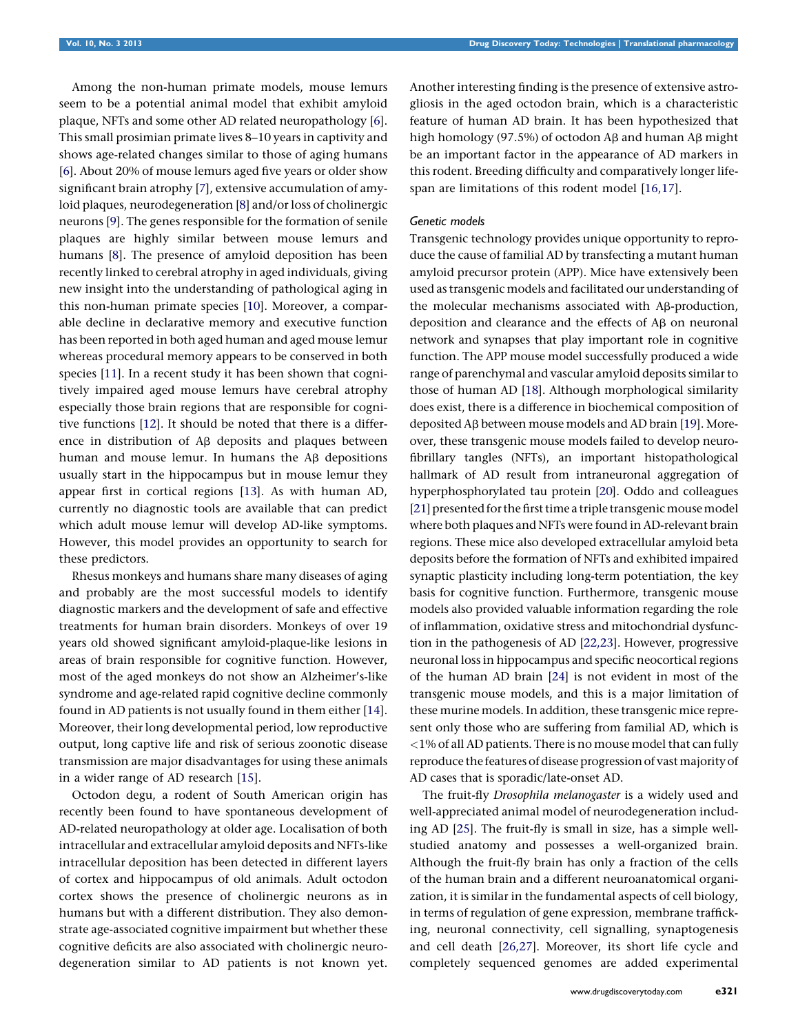Among the non-human primate models, mouse lemurs seem to be a potential animal model that exhibit amyloid plaque, NFTs and some other AD related neuropathology [[6](#page-7-0)]. This small prosimian primate lives 8–10 years in captivity and shows age-related changes similar to those of aging humans [\[6](#page-7-0)]. About 20% of mouse lemurs aged five years or older show significant brain atrophy [[7](#page-7-0)], extensive accumulation of amyloid plaques, neurodegeneration [[8\]](#page-7-0) and/or loss of cholinergic neurons [\[9\]](#page-7-0). The genes responsible for the formation of senile plaques are highly similar between mouse lemurs and humans [\[8](#page-7-0)]. The presence of amyloid deposition has been recently linked to cerebral atrophy in aged individuals, giving new insight into the understanding of pathological aging in this non-human primate species [[10\]](#page-7-0). Moreover, a comparable decline in declarative memory and executive function has been reported in both aged human and aged mouse lemur whereas procedural memory appears to be conserved in both species [[11](#page-7-0)]. In a recent study it has been shown that cognitively impaired aged mouse lemurs have cerebral atrophy especially those brain regions that are responsible for cognitive functions [[12](#page-7-0)]. It should be noted that there is a difference in distribution of  $\text{AB}$  deposits and plaques between human and mouse lemur. In humans the  $\text{AB}$  depositions usually start in the hippocampus but in mouse lemur they appear first in cortical regions [\[13](#page-7-0)]. As with human AD, currently no diagnostic tools are available that can predict which adult mouse lemur will develop AD-like symptoms. However, this model provides an opportunity to search for these predictors.

Rhesus monkeys and humans share many diseases of aging and probably are the most successful models to identify diagnostic markers and the development of safe and effective treatments for human brain disorders. Monkeys of over 19 years old showed significant amyloid-plaque-like lesions in areas of brain responsible for cognitive function. However, most of the aged monkeys do not show an Alzheimer's-like syndrome and age-related rapid cognitive decline commonly found in AD patients is not usually found in them either [[14](#page-7-0)]. Moreover, their long developmental period, low reproductive output, long captive life and risk of serious zoonotic disease transmission are major disadvantages for using these animals in a wider range of AD research [[15](#page-7-0)].

Octodon degu, a rodent of South American origin has recently been found to have spontaneous development of AD-related neuropathology at older age. Localisation of both intracellular and extracellular amyloid deposits and NFTs-like intracellular deposition has been detected in different layers of cortex and hippocampus of old animals. Adult octodon cortex shows the presence of cholinergic neurons as in humans but with a different distribution. They also demonstrate age-associated cognitive impairment but whether these cognitive deficits are also associated with cholinergic neurodegeneration similar to AD patients is not known yet.

Another interesting finding is the presence of extensive astrogliosis in the aged octodon brain, which is a characteristic feature of human AD brain. It has been hypothesized that high homology (97.5%) of octodon A $\beta$  and human A $\beta$  might be an important factor in the appearance of AD markers in this rodent. Breeding difficulty and comparatively longer lifespan are limitations of this rodent model [[16,17](#page-7-0)].

#### Genetic models

Transgenic technology provides unique opportunity to reproduce the cause of familial AD by transfecting a mutant human amyloid precursor protein (APP). Mice have extensively been used as transgenic models and facilitated our understanding of the molecular mechanisms associated with A<sub>B</sub>-production, deposition and clearance and the effects of  $\mathbf{A}\mathbf{\beta}$  on neuronal network and synapses that play important role in cognitive function. The APP mouse model successfully produced a wide range of parenchymal and vascular amyloid deposits similarto those of human AD [\[18](#page-7-0)]. Although morphological similarity does exist, there is a difference in biochemical composition of deposited Aß between mouse models and AD brain [\[19](#page-7-0)]. Moreover, these transgenic mouse models failed to develop neurofibrillary tangles (NFTs), an important histopathological hallmark of AD result from intraneuronal aggregation of hyperphosphorylated tau protein [\[20](#page-8-0)]. Oddo and colleagues [[21\]](#page-8-0) presented for the first time a triple transgenic mouse model where both plaques and NFTs were found in AD-relevant brain regions. These mice also developed extracellular amyloid beta deposits before the formation of NFTs and exhibited impaired synaptic plasticity including long-term potentiation, the key basis for cognitive function. Furthermore, transgenic mouse models also provided valuable information regarding the role of inflammation, oxidative stress and mitochondrial dysfunction in the pathogenesis of AD [\[22,23](#page-8-0)]. However, progressive neuronal loss in hippocampus and specific neocortical regions of the human AD brain [[24\]](#page-8-0) is not evident in most of the transgenic mouse models, and this is a major limitation of these murine models. In addition, these transgenic mice represent only those who are suffering from familial AD, which is  $<$  1% of all AD patients. There is no mouse model that can fully reproduce the features of disease progression of vast majority of AD cases that is sporadic/late-onset AD.

The fruit-fly Drosophila melanogaster is a widely used and well-appreciated animal model of neurodegeneration including AD [[25\]](#page-8-0). The fruit-fly is small in size, has a simple wellstudied anatomy and possesses a well-organized brain. Although the fruit-fly brain has only a fraction of the cells of the human brain and a different neuroanatomical organization, it is similar in the fundamental aspects of cell biology, in terms of regulation of gene expression, membrane trafficking, neuronal connectivity, cell signalling, synaptogenesis and cell death [[26,27\]](#page-8-0). Moreover, its short life cycle and completely sequenced genomes are added experimental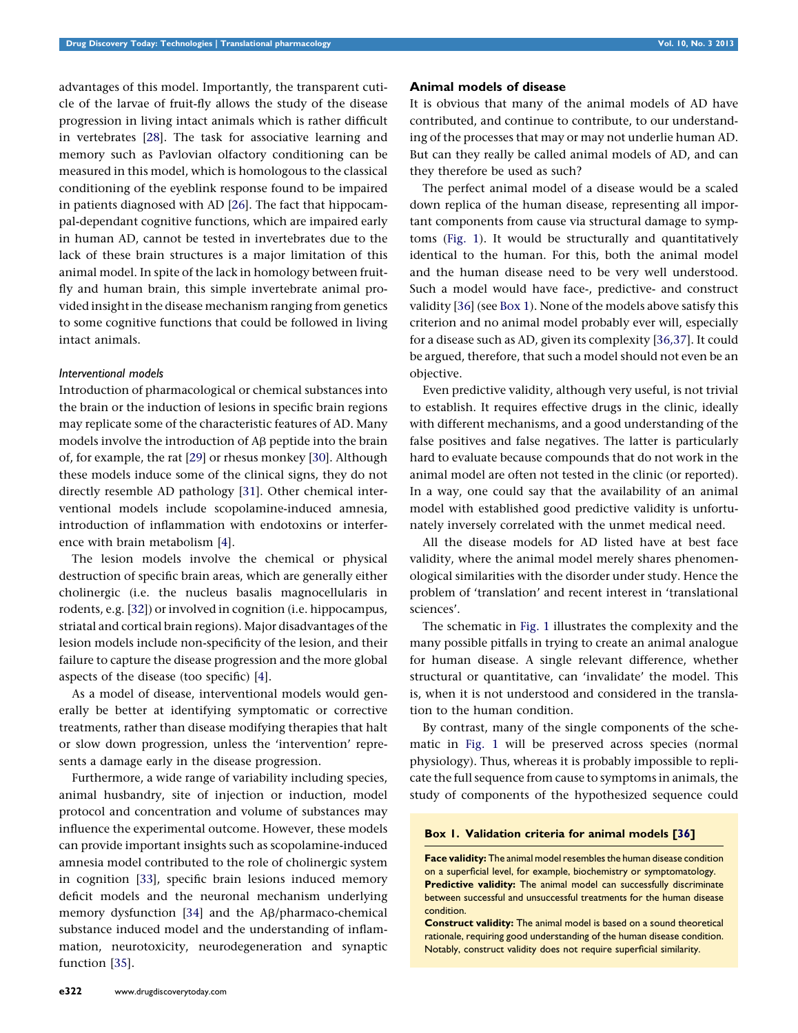advantages of this model. Importantly, the transparent cuticle of the larvae of fruit-fly allows the study of the disease progression in living intact animals which is rather difficult in vertebrates [\[28\]](#page-8-0). The task for associative learning and memory such as Pavlovian olfactory conditioning can be measured in this model, which is homologous to the classical conditioning of the eyeblink response found to be impaired in patients diagnosed with AD [[26](#page-8-0)]. The fact that hippocampal-dependant cognitive functions, which are impaired early in human AD, cannot be tested in invertebrates due to the lack of these brain structures is a major limitation of this animal model. In spite of the lack in homology between fruitfly and human brain, this simple invertebrate animal provided insight in the disease mechanism ranging from genetics to some cognitive functions that could be followed in living intact animals.

# Interventional models

Introduction of pharmacological or chemical substances into the brain or the induction of lesions in specific brain regions may replicate some of the characteristic features of AD. Many models involve the introduction of  $\mathbf{A}\beta$  peptide into the brain of, for example, the rat [\[29\]](#page-8-0) or rhesus monkey [[30](#page-8-0)]. Although these models induce some of the clinical signs, they do not directly resemble AD pathology [\[31\]](#page-8-0). Other chemical interventional models include scopolamine-induced amnesia, introduction of inflammation with endotoxins or interference with brain metabolism [[4\]](#page-7-0).

The lesion models involve the chemical or physical destruction of specific brain areas, which are generally either cholinergic (i.e. the nucleus basalis magnocellularis in rodents, e.g. [[32\]](#page-8-0)) or involved in cognition (i.e. hippocampus, striatal and cortical brain regions). Major disadvantages of the lesion models include non-specificity of the lesion, and their failure to capture the disease progression and the more global aspects of the disease (too specific) [\[4](#page-7-0)].

As a model of disease, interventional models would generally be better at identifying symptomatic or corrective treatments, rather than disease modifying therapies that halt or slow down progression, unless the 'intervention' represents a damage early in the disease progression.

Furthermore, a wide range of variability including species, animal husbandry, site of injection or induction, model protocol and concentration and volume of substances may influence the experimental outcome. However, these models can provide important insights such as scopolamine-induced amnesia model contributed to the role of cholinergic system in cognition [\[33\]](#page-8-0), specific brain lesions induced memory deficit models and the neuronal mechanism underlying memory dysfunction [[34](#page-8-0)] and the  $A\beta$ /pharmaco-chemical substance induced model and the understanding of inflammation, neurotoxicity, neurodegeneration and synaptic function [[35\]](#page-8-0).

#### Animal models of disease

It is obvious that many of the animal models of AD have contributed, and continue to contribute, to our understanding of the processes that may or may not underlie human AD. But can they really be called animal models of AD, and can they therefore be used as such?

The perfect animal model of a disease would be a scaled down replica of the human disease, representing all important components from cause via structural damage to symptoms [\(Fig.](#page-4-0) 1). It would be structurally and quantitatively identical to the human. For this, both the animal model and the human disease need to be very well understood. Such a model would have face-, predictive- and construct validity [\[36](#page-8-0)] (see Box 1). None of the models above satisfy this criterion and no animal model probably ever will, especially for a disease such as AD, given its complexity [\[36,37](#page-8-0)]. It could be argued, therefore, that such a model should not even be an objective.

Even predictive validity, although very useful, is not trivial to establish. It requires effective drugs in the clinic, ideally with different mechanisms, and a good understanding of the false positives and false negatives. The latter is particularly hard to evaluate because compounds that do not work in the animal model are often not tested in the clinic (or reported). In a way, one could say that the availability of an animal model with established good predictive validity is unfortunately inversely correlated with the unmet medical need.

All the disease models for AD listed have at best face validity, where the animal model merely shares phenomenological similarities with the disorder under study. Hence the problem of 'translation' and recent interest in 'translational sciences'.

The schematic in [Fig.](#page-4-0) 1 illustrates the complexity and the many possible pitfalls in trying to create an animal analogue for human disease. A single relevant difference, whether structural or quantitative, can 'invalidate' the model. This is, when it is not understood and considered in the translation to the human condition.

By contrast, many of the single components of the schematic in [Fig.](#page-4-0) 1 will be preserved across species (normal physiology). Thus, whereas it is probably impossible to replicate the full sequence from cause to symptoms in animals, the study of components of the hypothesized sequence could

#### Box 1. Validation criteria for animal models [\[36](#page-8-0)]

Face validity: The animal model resembles the human disease condition on a superficial level, for example, biochemistry or symptomatology. Predictive validity: The animal model can successfully discriminate between successful and unsuccessful treatments for the human disease condition.

Construct validity: The animal model is based on a sound theoretical rationale, requiring good understanding of the human disease condition. Notably, construct validity does not require superficial similarity.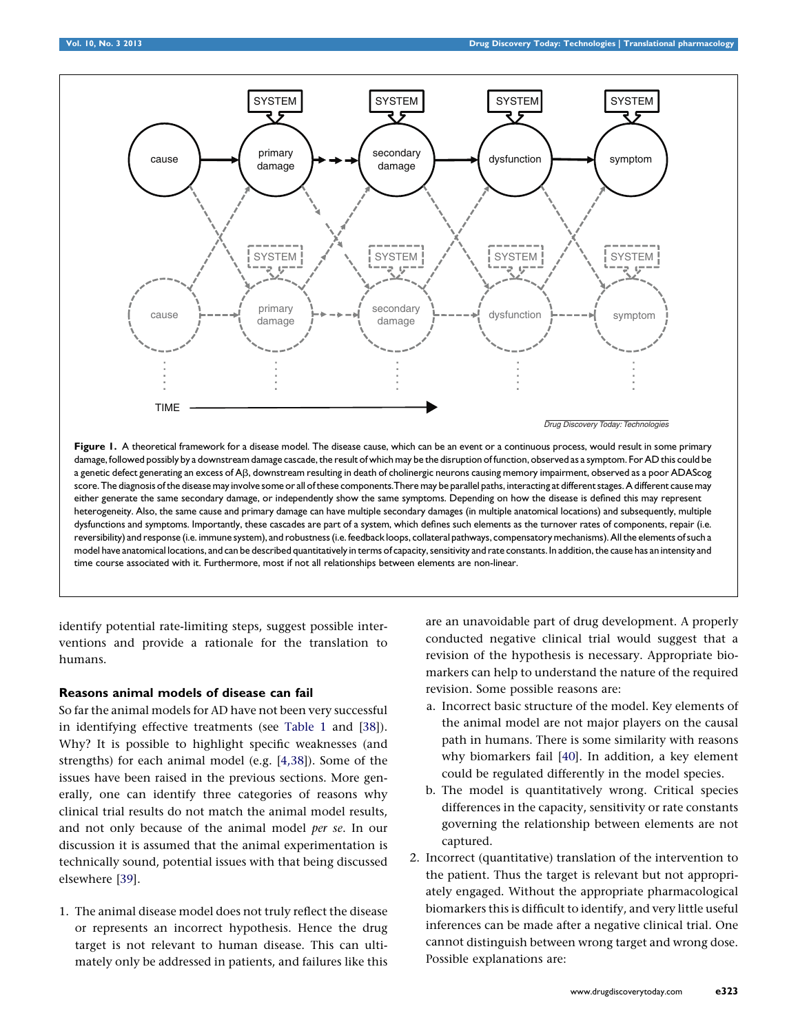<span id="page-4-0"></span>

Figure 1. A theoretical framework for a disease model. The disease cause, which can be an event or a continuous process, would result in some primary damage, followed possibly by a downstream damage cascade, the result of which may be the disruption of function, observed as a symptom. For AD this could be a genetic defect generating an excess of Ab, downstream resulting in death of cholinergic neurons causing memory impairment, observed as a poor ADAScog score. The diagnosis of the disease may involve some or all of these components. There may be parallel paths, interacting at different stages. A different cause may either generate the same secondary damage, or independently show the same symptoms. Depending on how the disease is defined this may represent heterogeneity. Also, the same cause and primary damage can have multiple secondary damages (in multiple anatomical locations) and subsequently, multiple dysfunctions and symptoms. Importantly, these cascades are part of a system, which defines such elements as the turnover rates of components, repair (i.e. reversibility) and response (i.e. immune system), and robustness(i.e. feedback loops, collateral pathways, compensatorymechanisms).Allthe elements ofsuch a model have anatomical locations, and can be described quantitatively in terms of capacity, sensitivity and rate constants. In addition, the cause has an intensity and time course associated with it. Furthermore, most if not all relationships between elements are non-linear.

identify potential rate-limiting steps, suggest possible interventions and provide a rationale for the translation to humans.

#### Reasons animal models of disease can fail

So far the animal models for AD have not been very successful in identifying effective treatments (see [Table](#page-1-0) 1 and [[38\]](#page-8-0)). Why? It is possible to highlight specific weaknesses (and strengths) for each animal model (e.g. [\[4,38\]](#page-7-0)). Some of the issues have been raised in the previous sections. More generally, one can identify three categories of reasons why clinical trial results do not match the animal model results, and not only because of the animal model per se. In our discussion it is assumed that the animal experimentation is technically sound, potential issues with that being discussed elsewhere [\[39](#page-8-0)].

1. The animal disease model does not truly reflect the disease or represents an incorrect hypothesis. Hence the drug target is not relevant to human disease. This can ultimately only be addressed in patients, and failures like this

are an unavoidable part of drug development. A properly conducted negative clinical trial would suggest that a revision of the hypothesis is necessary. Appropriate biomarkers can help to understand the nature of the required revision. Some possible reasons are:

- a. Incorrect basic structure of the model. Key elements of the animal model are not major players on the causal path in humans. There is some similarity with reasons why biomarkers fail [\[40\]](#page-8-0). In addition, a key element could be regulated differently in the model species.
- b. The model is quantitatively wrong. Critical species differences in the capacity, sensitivity or rate constants governing the relationship between elements are not captured.
- 2. Incorrect (quantitative) translation of the intervention to the patient. Thus the target is relevant but not appropriately engaged. Without the appropriate pharmacological biomarkers this is difficult to identify, and very little useful inferences can be made after a negative clinical trial. One cannot distinguish between wrong target and wrong dose. Possible explanations are: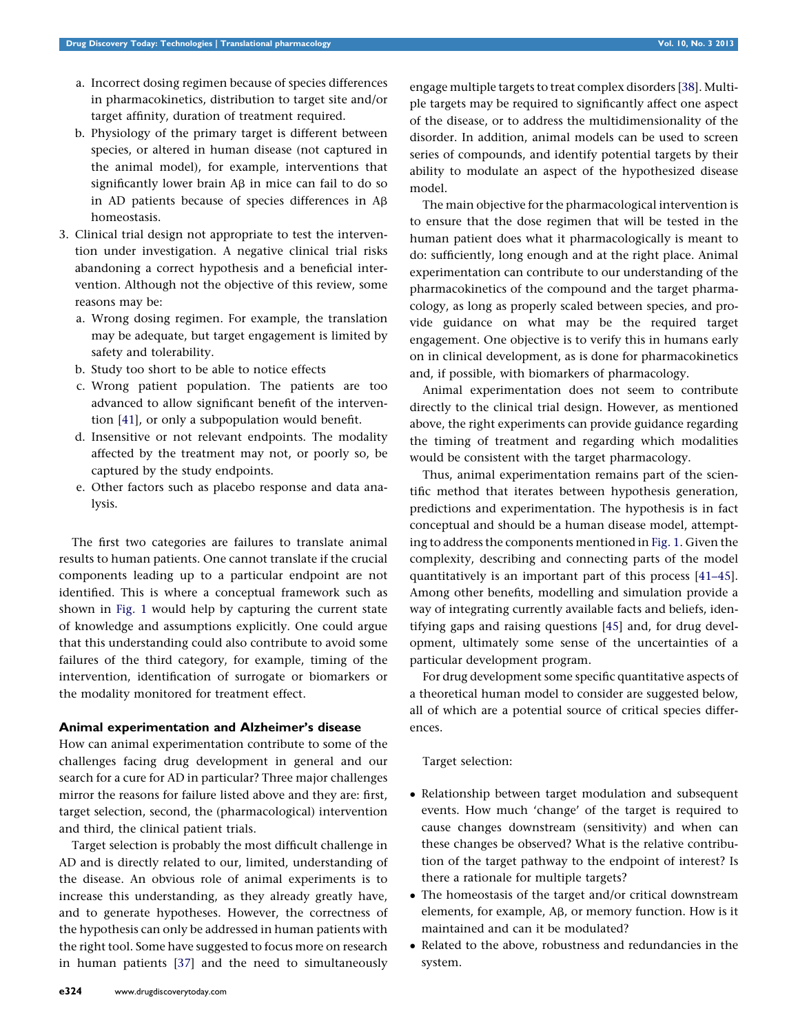- a. Incorrect dosing regimen because of species differences in pharmacokinetics, distribution to target site and/or target affinity, duration of treatment required.
- b. Physiology of the primary target is different between species, or altered in human disease (not captured in the animal model), for example, interventions that significantly lower brain  $\mathbf{A}\mathbf{\beta}$  in mice can fail to do so in AD patients because of species differences in  $\text{A}\beta$ homeostasis.
- 3. Clinical trial design not appropriate to test the intervention under investigation. A negative clinical trial risks abandoning a correct hypothesis and a beneficial intervention. Although not the objective of this review, some reasons may be:
	- a. Wrong dosing regimen. For example, the translation may be adequate, but target engagement is limited by safety and tolerability.
	- b. Study too short to be able to notice effects
	- c. Wrong patient population. The patients are too advanced to allow significant benefit of the intervention [\[41\]](#page-8-0), or only a subpopulation would benefit.
	- d. Insensitive or not relevant endpoints. The modality affected by the treatment may not, or poorly so, be captured by the study endpoints.
	- e. Other factors such as placebo response and data analysis.

The first two categories are failures to translate animal results to human patients. One cannot translate if the crucial components leading up to a particular endpoint are not identified. This is where a conceptual framework such as shown in [Fig.](#page-4-0) 1 would help by capturing the current state of knowledge and assumptions explicitly. One could argue that this understanding could also contribute to avoid some failures of the third category, for example, timing of the intervention, identification of surrogate or biomarkers or the modality monitored for treatment effect.

# Animal experimentation and Alzheimer's disease

How can animal experimentation contribute to some of the challenges facing drug development in general and our search for a cure for AD in particular? Three major challenges mirror the reasons for failure listed above and they are: first, target selection, second, the (pharmacological) intervention and third, the clinical patient trials.

Target selection is probably the most difficult challenge in AD and is directly related to our, limited, understanding of the disease. An obvious role of animal experiments is to increase this understanding, as they already greatly have, and to generate hypotheses. However, the correctness of the hypothesis can only be addressed in human patients with the right tool. Some have suggested to focus more on research in human patients [\[37\]](#page-8-0) and the need to simultaneously

The main objective for the pharmacological intervention is to ensure that the dose regimen that will be tested in the human patient does what it pharmacologically is meant to do: sufficiently, long enough and at the right place. Animal experimentation can contribute to our understanding of the pharmacokinetics of the compound and the target pharmacology, as long as properly scaled between species, and provide guidance on what may be the required target engagement. One objective is to verify this in humans early on in clinical development, as is done for pharmacokinetics and, if possible, with biomarkers of pharmacology.

Animal experimentation does not seem to contribute directly to the clinical trial design. However, as mentioned above, the right experiments can provide guidance regarding the timing of treatment and regarding which modalities would be consistent with the target pharmacology.

Thus, animal experimentation remains part of the scientific method that iterates between hypothesis generation, predictions and experimentation. The hypothesis is in fact conceptual and should be a human disease model, attempting to address the components mentioned in [Fig.](#page-4-0) 1. Given the complexity, describing and connecting parts of the model quantitatively is an important part of this process [\[41–45](#page-8-0)]. Among other benefits, modelling and simulation provide a way of integrating currently available facts and beliefs, identifying gaps and raising questions [\[45](#page-8-0)] and, for drug development, ultimately some sense of the uncertainties of a particular development program.

For drug development some specific quantitative aspects of a theoretical human model to consider are suggested below, all of which are a potential source of critical species differences.

Target selection:

- Relationship between target modulation and subsequent events. How much 'change' of the target is required to cause changes downstream (sensitivity) and when can these changes be observed? What is the relative contribution of the target pathway to the endpoint of interest? Is there a rationale for multiple targets?
- The homeostasis of the target and/or critical downstream elements, for example,  $\overline{AB}$ , or memory function. How is it maintained and can it be modulated?
- Related to the above, robustness and redundancies in the system.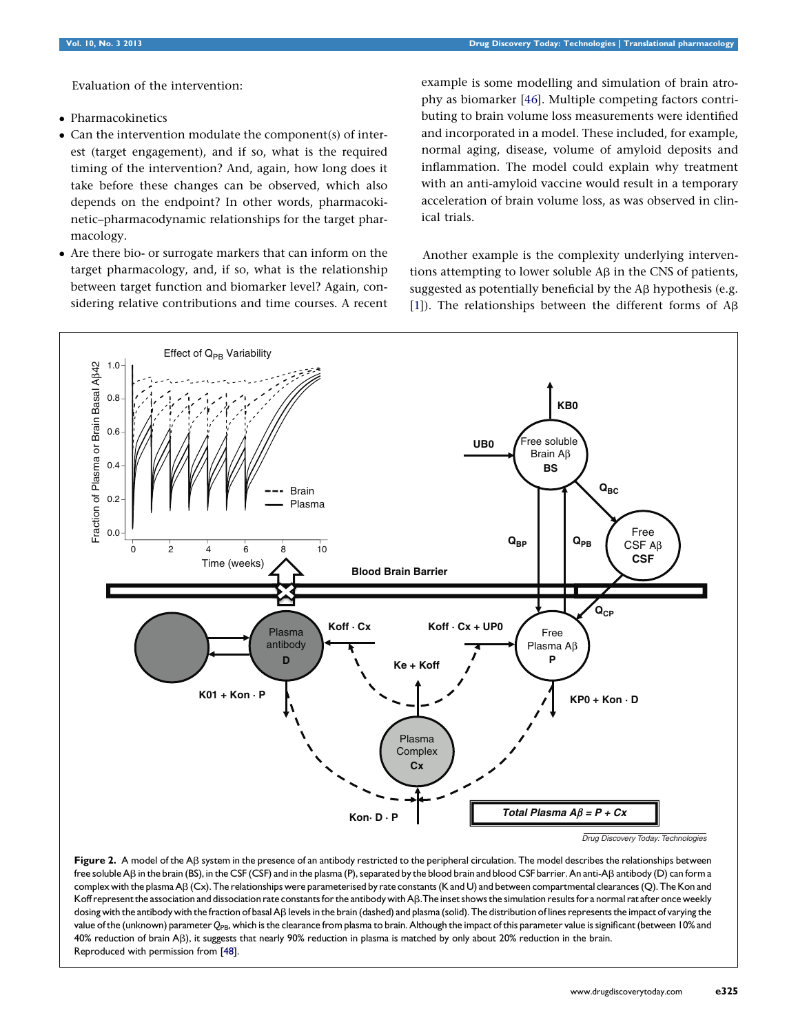<span id="page-6-0"></span>Evaluation of the intervention:

- Pharmacokinetics
- Can the intervention modulate the component(s) of interest (target engagement), and if so, what is the required timing of the intervention? And, again, how long does it take before these changes can be observed, which also depends on the endpoint? In other words, pharmacokinetic–pharmacodynamic relationships for the target pharmacology.
- Are there bio- or surrogate markers that can inform on the target pharmacology, and, if so, what is the relationship between target function and biomarker level? Again, considering relative contributions and time courses. A recent

example is some modelling and simulation of brain atrophy as biomarker [[46\]](#page-8-0). Multiple competing factors contributing to brain volume loss measurements were identified and incorporated in a model. These included, for example, normal aging, disease, volume of amyloid deposits and inflammation. The model could explain why treatment with an anti-amyloid vaccine would result in a temporary acceleration of brain volume loss, as was observed in clinical trials.

Another example is the complexity underlying interventions attempting to lower soluble  $\mathbf{A}\mathbf{\beta}$  in the CNS of patients, suggested as potentially beneficial by the AB hypothesis (e.g. [[1\]](#page-7-0)). The relationships between the different forms of  $\text{A}\beta$ 



*Drug Discovery Today: Technologies*

Figure 2. A model of the A $\beta$  system in the presence of an antibody restricted to the peripheral circulation. The model describes the relationships between free soluble Aβ in the brain (BS), in the CSF (CSF) and in the plasma (P), separated by the blood brain and blood CSF barrier. An anti-Aβ antibody (D) can form a complex with the plasma A $\beta$  (Cx). The relationships were parameterised by rate constants (K and U) and between compartmental clearances (Q). The Kon and Koff represent the association and dissociation rate constants for the antibody with AB. The inset shows the simulation results for a normal rat after once weekly dosing with the antibody with the fraction of basal Aß levels in the brain (dashed) and plasma (solid). The distribution of lines represents the impact of varying the value of the (unknown) parameter Q<sub>PB</sub>, which is the clearance from plasma to brain. Although the impact of this parameter value is significant (between 10% and 40% reduction of brain Ab), it suggests that nearly 90% reduction in plasma is matched by only about 20% reduction in the brain. Reproduced with permission from [[48](#page-8-0)].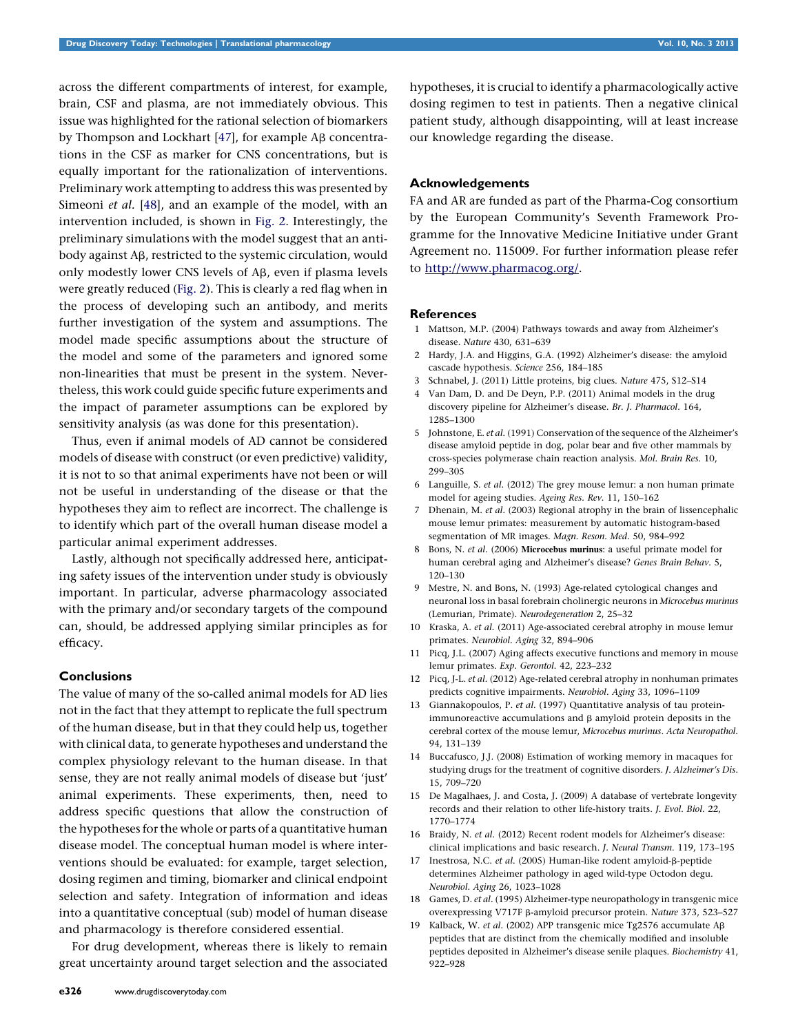<span id="page-7-0"></span>across the different compartments of interest, for example, brain, CSF and plasma, are not immediately obvious. This issue was highlighted for the rational selection of biomarkers by Thompson and Lockhart [[47\]](#page-8-0), for example  $\text{A}\beta$  concentrations in the CSF as marker for CNS concentrations, but is equally important for the rationalization of interventions. Preliminary work attempting to address this was presented by Simeoni et al. [\[48\]](#page-8-0), and an example of the model, with an intervention included, is shown in [Fig.](#page-6-0) 2. Interestingly, the preliminary simulations with the model suggest that an antibody against A $\beta$ , restricted to the systemic circulation, would only modestly lower CNS levels of A<sub>B</sub>, even if plasma levels were greatly reduced [\(Fig.](#page-6-0) 2). This is clearly a red flag when in the process of developing such an antibody, and merits further investigation of the system and assumptions. The model made specific assumptions about the structure of the model and some of the parameters and ignored some non-linearities that must be present in the system. Nevertheless, this work could guide specific future experiments and the impact of parameter assumptions can be explored by sensitivity analysis (as was done for this presentation).

Thus, even if animal models of AD cannot be considered models of disease with construct (or even predictive) validity, it is not to so that animal experiments have not been or will not be useful in understanding of the disease or that the hypotheses they aim to reflect are incorrect. The challenge is to identify which part of the overall human disease model a particular animal experiment addresses.

Lastly, although not specifically addressed here, anticipating safety issues of the intervention under study is obviously important. In particular, adverse pharmacology associated with the primary and/or secondary targets of the compound can, should, be addressed applying similar principles as for efficacy.

# **Conclusions**

The value of many of the so-called animal models for AD lies not in the fact that they attempt to replicate the full spectrum of the human disease, but in that they could help us, together with clinical data, to generate hypotheses and understand the complex physiology relevant to the human disease. In that sense, they are not really animal models of disease but 'just' animal experiments. These experiments, then, need to address specific questions that allow the construction of the hypotheses for the whole or parts of a quantitative human disease model. The conceptual human model is where interventions should be evaluated: for example, target selection, dosing regimen and timing, biomarker and clinical endpoint selection and safety. Integration of information and ideas into a quantitative conceptual (sub) model of human disease and pharmacology is therefore considered essential.

For drug development, whereas there is likely to remain great uncertainty around target selection and the associated

hypotheses, it is crucial to identify a pharmacologically active dosing regimen to test in patients. Then a negative clinical patient study, although disappointing, will at least increase our knowledge regarding the disease.

#### Acknowledgements

FA and AR are funded as part of the Pharma-Cog consortium by the European Community's Seventh Framework Programme for the Innovative Medicine Initiative under Grant Agreement no. 115009. For further information please refer to <http://www.pharmacog.org/>.

#### References

- 1 Mattson, M.P. (2004) Pathways towards and away from Alzheimer's disease. Nature 430, 631–639
- 2 Hardy, J.A. and Higgins, G.A. (1992) Alzheimer's disease: the amyloid cascade hypothesis. Science 256, 184–185
- 3 Schnabel, J. (2011) Little proteins, big clues. Nature 475, S12–S14
- 4 Van Dam, D. and De Deyn, P.P. (2011) Animal models in the drug discovery pipeline for Alzheimer's disease. Br. J. Pharmacol. 164, 1285–1300
- 5 Johnstone, E. et al. (1991) Conservation of the sequence of the Alzheimer's disease amyloid peptide in dog, polar bear and five other mammals by cross-species polymerase chain reaction analysis. Mol. Brain Res. 10, 299–305
- 6 Languille, S. et al. (2012) The grey mouse lemur: a non human primate model for ageing studies. Ageing Res. Rev. 11, 150–162
- 7 Dhenain, M. et al. (2003) Regional atrophy in the brain of lissencephalic mouse lemur primates: measurement by automatic histogram-based segmentation of MR images. Magn. Reson. Med. 50, 984–992
- 8 Bons, N. et al. (2006) Microcebus murinus: a useful primate model for human cerebral aging and Alzheimer's disease? Genes Brain Behav. 5, 120–130
- 9 Mestre, N. and Bons, N. (1993) Age-related cytological changes and neuronal loss in basal forebrain cholinergic neurons in Microcebus murinus (Lemurian, Primate). Neurodegeneration 2, 25–32
- 10 Kraska, A. et al. (2011) Age-associated cerebral atrophy in mouse lemur primates. Neurobiol. Aging 32, 894–906
- 11 Picq, J.L. (2007) Aging affects executive functions and memory in mouse lemur primates. Exp. Gerontol. 42, 223–232
- 12 Picq, J-L. et al. (2012) Age-related cerebral atrophy in nonhuman primates predicts cognitive impairments. Neurobiol. Aging 33, 1096–1109
- 13 Giannakopoulos, P. et al. (1997) Quantitative analysis of tau proteinimmunoreactive accumulations and  $\beta$  amyloid protein deposits in the cerebral cortex of the mouse lemur, Microcebus murinus. Acta Neuropathol. 94, 131–139
- 14 Buccafusco, J.J. (2008) Estimation of working memory in macaques for studying drugs for the treatment of cognitive disorders. J. Alzheimer's Dis. 15, 709–720
- 15 De Magalhaes, J. and Costa, J. (2009) A database of vertebrate longevity records and their relation to other life-history traits. J. Evol. Biol. 22, 1770–1774
- 16 Braidy, N. et al. (2012) Recent rodent models for Alzheimer's disease: clinical implications and basic research. J. Neural Transm. 119, 173–195
- 17 Inestrosa, N.C. et al. (2005) Human-like rodent amyloid-β-peptide determines Alzheimer pathology in aged wild-type Octodon degu. Neurobiol. Aging 26, 1023–1028
- 18 Games, D. et al. (1995) Alzheimer-type neuropathology in transgenic mice overexpressing V717F  $\beta$ -amyloid precursor protein. Nature 373, 523–527
- 19 Kalback, W. et al. (2002) APP transgenic mice Tg2576 accumulate A $\beta$ peptides that are distinct from the chemically modified and insoluble peptides deposited in Alzheimer's disease senile plaques. Biochemistry 41, 922–928